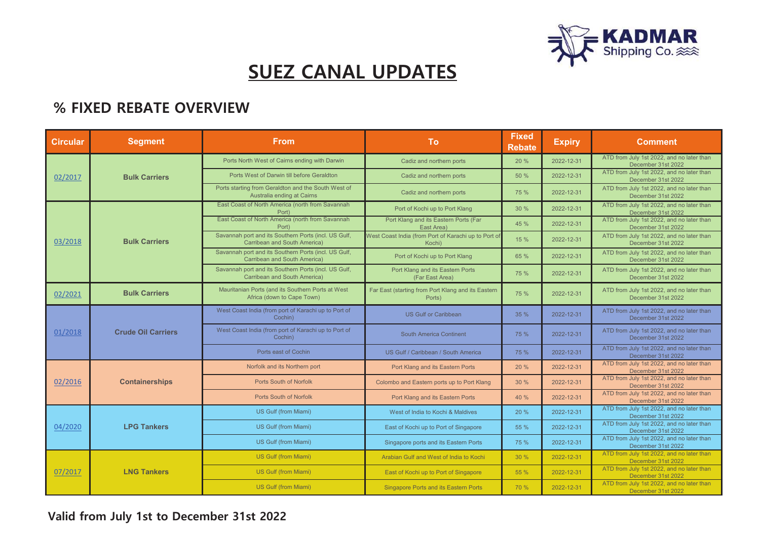

## **SUEZ CANAL UPDATES**

## **% FIXED REBATE OVERVIEW**

| <b>Circular</b> | <b>Segment</b>            | <b>From</b>                                                                          | To                                                             | <b>Fixed</b><br><b>Rebate</b> | <b>Expiry</b> | <b>Comment</b>                                                  |
|-----------------|---------------------------|--------------------------------------------------------------------------------------|----------------------------------------------------------------|-------------------------------|---------------|-----------------------------------------------------------------|
| 02/2017         | <b>Bulk Carriers</b>      | Ports North West of Cairns ending with Darwin                                        | Cadiz and northern ports                                       | 20 %                          | 2022-12-31    | ATD from July 1st 2022, and no later than<br>December 31st 2022 |
|                 |                           | Ports West of Darwin till before Geraldton                                           | Cadiz and northern ports                                       | 50 %                          | 2022-12-31    | ATD from July 1st 2022, and no later than<br>December 31st 2022 |
|                 |                           | Ports starting from Geraldton and the South West of<br>Australia ending at Cairns    | Cadiz and northern ports                                       | 75 %                          | 2022-12-31    | ATD from July 1st 2022, and no later than<br>December 31st 2022 |
| 03/2018         | <b>Bulk Carriers</b>      | East Coast of North America (north from Savannah<br>Port)                            | Port of Kochi up to Port Klang                                 | 30%                           | 2022-12-31    | ATD from July 1st 2022, and no later than<br>December 31st 2022 |
|                 |                           | East Coast of North America (north from Savannah<br>Port)                            | Port Klang and its Eastern Ports (Far<br>East Area)            | 45 %                          | 2022-12-31    | ATD from July 1st 2022, and no later than<br>December 31st 2022 |
|                 |                           | Savannah port and its Southern Ports (incl. US Gulf,<br>Carribean and South America) | West Coast India (from Port of Karachi up to Port of<br>Kochi) | 15 %                          | 2022-12-31    | ATD from July 1st 2022, and no later than<br>December 31st 2022 |
|                 |                           | Savannah port and its Southern Ports (incl. US Gulf,<br>Carribean and South America) | Port of Kochi up to Port Klang                                 | 65 %                          | 2022-12-31    | ATD from July 1st 2022, and no later than<br>December 31st 2022 |
|                 |                           | Savannah port and its Southern Ports (incl. US Gulf,<br>Carribean and South America) | Port Klang and its Eastern Ports<br>(Far East Area)            | 75 %                          | 2022-12-31    | ATD from July 1st 2022, and no later than<br>December 31st 2022 |
| 02/2021         | <b>Bulk Carriers</b>      | Mauritanian Ports (and its Southern Ports at West<br>Africa (down to Cape Town)      | Far East (starting from Port Klang and its Eastern<br>Ports)   | 75 %                          | 2022-12-31    | ATD from July 1st 2022, and no later than<br>December 31st 2022 |
| 01/2018         | <b>Crude Oil Carriers</b> | West Coast India (from port of Karachi up to Port of<br>Cochin)                      | <b>US Gulf or Caribbean</b>                                    | 35 %                          | 2022-12-31    | ATD from July 1st 2022, and no later than<br>December 31st 2022 |
|                 |                           | West Coast India (from port of Karachi up to Port of<br>Cochin)                      | <b>South America Continent</b>                                 | 75 %                          | 2022-12-31    | ATD from July 1st 2022, and no later than<br>December 31st 2022 |
|                 |                           | Ports east of Cochin                                                                 | US Gulf / Caribbean / South America                            | 75 %                          | 2022-12-31    | ATD from July 1st 2022, and no later than<br>December 31st 2022 |
| 02/2016         | <b>Containerships</b>     | Norfolk and its Northern port                                                        | Port Klang and its Eastern Ports                               | 20%                           | 2022-12-31    | ATD from July 1st 2022, and no later than<br>December 31st 2022 |
|                 |                           | <b>Ports South of Norfolk</b>                                                        | Colombo and Eastern ports up to Port Klang                     | 30 %                          | 2022-12-31    | ATD from July 1st 2022, and no later than<br>December 31st 2022 |
|                 |                           | <b>Ports South of Norfolk</b>                                                        | Port Klang and its Eastern Ports                               | 40 %                          | 2022-12-31    | ATD from July 1st 2022, and no later than<br>December 31st 2022 |
| 04/2020         | <b>LPG Tankers</b>        | US Gulf (from Miami)                                                                 | West of India to Kochi & Maldives                              | 20 %                          | 2022-12-31    | ATD from July 1st 2022, and no later than<br>December 31st 2022 |
|                 |                           | US Gulf (from Miami)                                                                 | East of Kochi up to Port of Singapore                          | 55 %                          | 2022-12-31    | ATD from July 1st 2022, and no later than<br>December 31st 2022 |
|                 |                           | US Gulf (from Miami)                                                                 | Singapore ports and its Eastern Ports                          | 75 %                          | 2022-12-31    | ATD from July 1st 2022, and no later than<br>December 31st 2022 |
| 07/2017         | <b>LNG Tankers</b>        | US Gulf (from Miami)                                                                 | Arabian Gulf and West of India to Kochi                        | 30 %                          | 2022-12-31    | ATD from July 1st 2022, and no later than<br>December 31st 2022 |
|                 |                           | US Gulf (from Miami)                                                                 | East of Kochi up to Port of Singapore                          | 55 %                          | 2022-12-31    | ATD from July 1st 2022, and no later than<br>December 31st 2022 |
|                 |                           | US Gulf (from Miami)                                                                 | <b>Singapore Ports and its Eastern Ports</b>                   | 70 %                          | 2022-12-31    | ATD from July 1st 2022, and no later than<br>December 31st 2022 |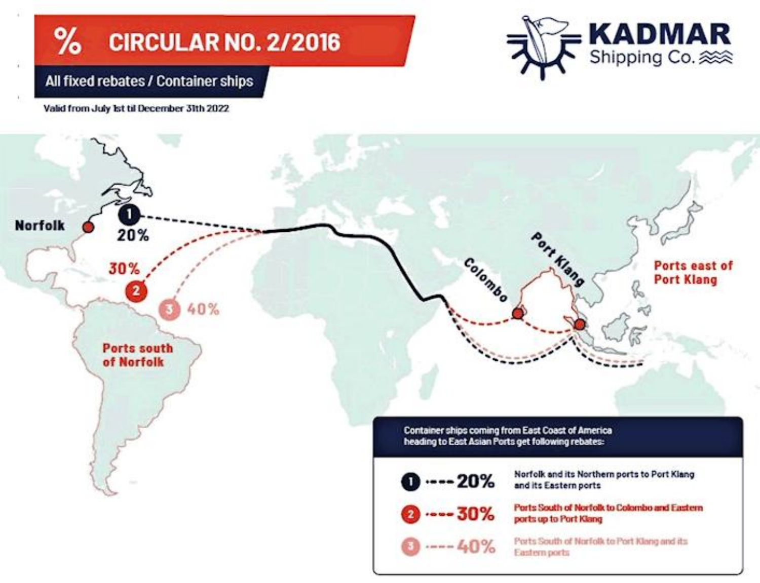#### $\%$ **CIRCULAR NO. 2/2016**



#### All fixed rebates / Container ships

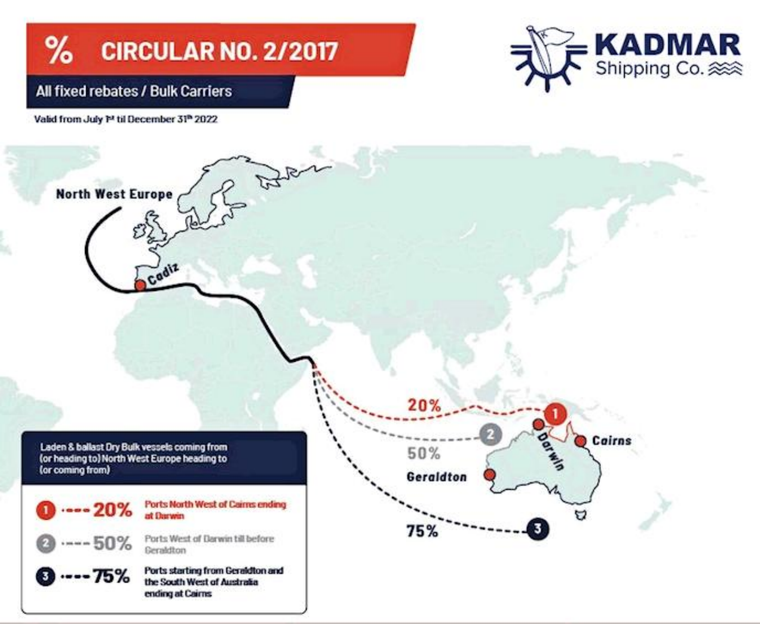#### $%$ **CIRCULAR NO. 2/2017**



#### All fixed rebates / Bulk Carriers

Valid from July P<sup>2</sup> til December 31<sup>n</sup> 2022

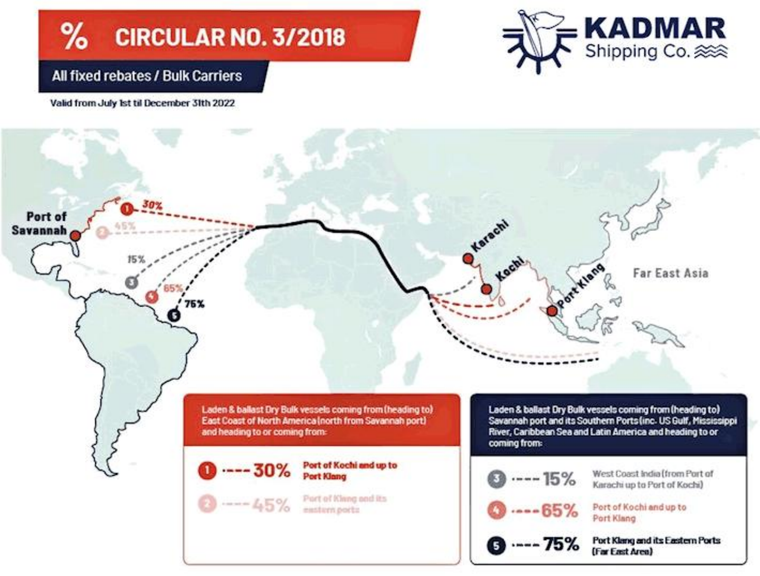#### $\frac{9}{6}$ **CIRCULAR NO. 3/2018**



#### All fixed rebates / Bulk Carriers

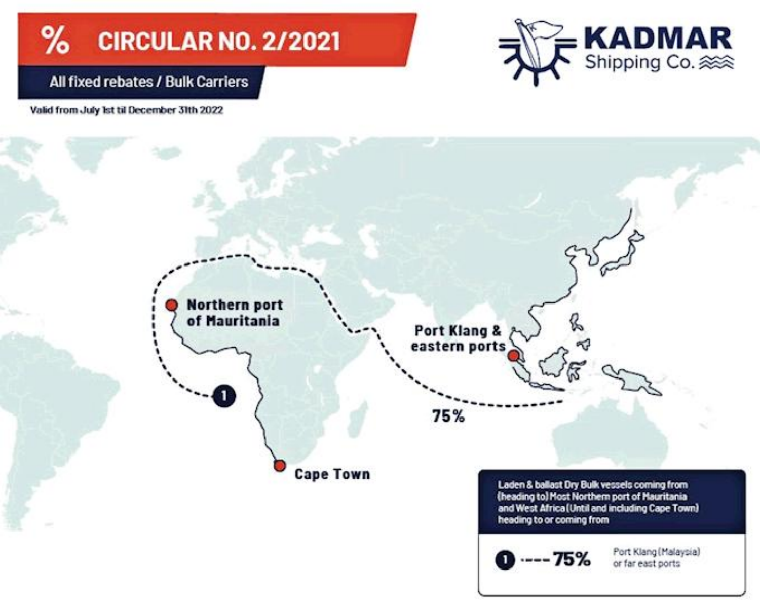#### ℅ **CIRCULAR NO. 2/2021**



All fixed rebates / Bulk Carriers

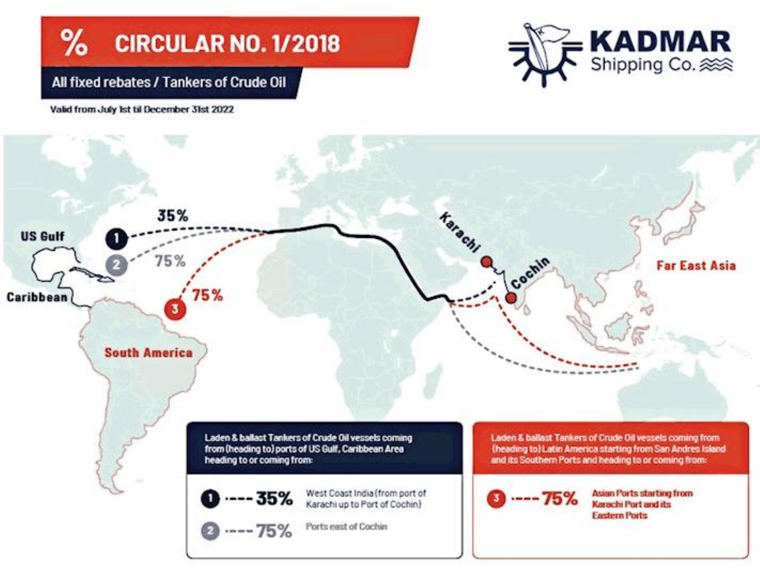#### % **CIRCULAR NO. 1/2018**

# **KADMAR**<br>Shipping Co. 2008

#### All fixed rebates / Tankers of Crude Oil

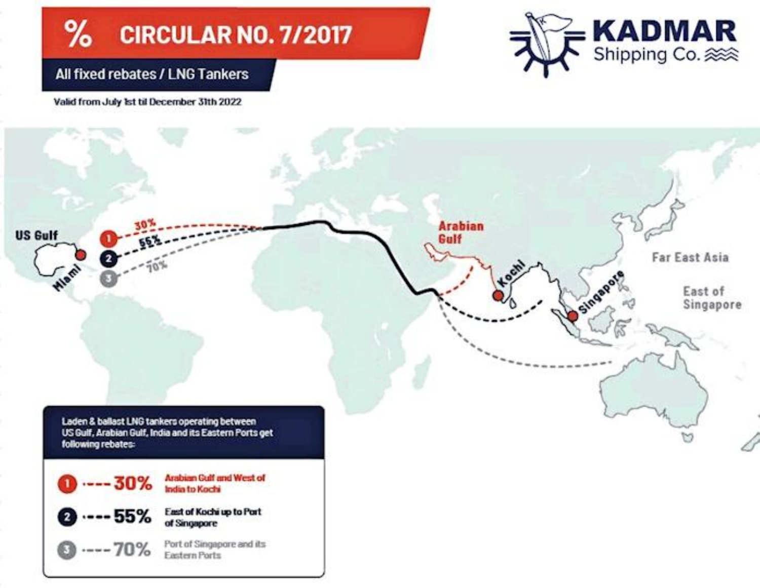#### $%$ **CIRCULAR NO. 7/2017**

## **KADMAR** Shipping Co.

#### All fixed rebates / LNG Tankers